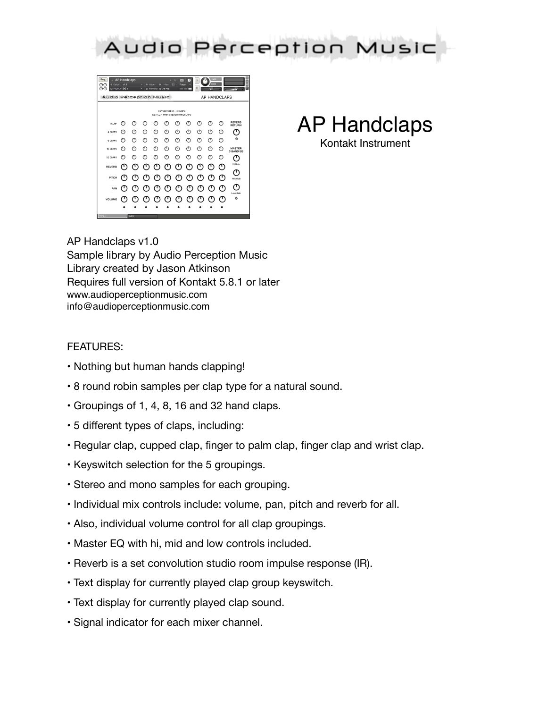



AP Handclaps Kontakt Instrument

AP Handclaps v1.0 Sample library by Audio Perception Music Library created by Jason Atkinson Requires full version of Kontakt 5.8.1 or later www.audioperceptionmusic.com info@audioperceptionmusic.com

## FEATURES:

- Nothing but human hands clapping!
- 8 round robin samples per clap type for a natural sound.
- Groupings of 1, 4, 8, 16 and 32 hand claps.
- 5 different types of claps, including:
- Regular clap, cupped clap, finger to palm clap, finger clap and wrist clap.
- Keyswitch selection for the 5 groupings.
- Stereo and mono samples for each grouping.
- Individual mix controls include: volume, pan, pitch and reverb for all.
- Also, individual volume control for all clap groupings.
- Master EQ with hi, mid and low controls included.
- Reverb is a set convolution studio room impulse response (IR).
- Text display for currently played clap group keyswitch.
- Text display for currently played clap sound.
- Signal indicator for each mixer channel.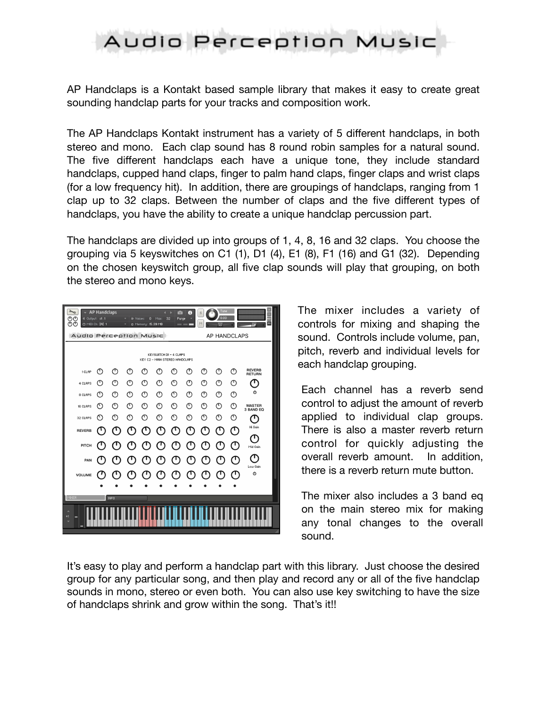## Audio Perception Music

AP Handclaps is a Kontakt based sample library that makes it easy to create great sounding handclap parts for your tracks and composition work.

The AP Handclaps Kontakt instrument has a variety of 5 different handclaps, in both stereo and mono. Each clap sound has 8 round robin samples for a natural sound. The five different handclaps each have a unique tone, they include standard handclaps, cupped hand claps, finger to palm hand claps, finger claps and wrist claps (for a low frequency hit). In addition, there are groupings of handclaps, ranging from 1 clap up to 32 claps. Between the number of claps and the five different types of handclaps, you have the ability to create a unique handclap percussion part.

The handclaps are divided up into groups of 1, 4, 8, 16 and 32 claps. You choose the grouping via 5 keyswitches on C1 (1), D1 (4), E1 (8), F1 (16) and G1 (32). Depending on the chosen keyswitch group, all five clap sounds will play that grouping, on both the stereo and mono keys.



The mixer includes a variety of controls for mixing and shaping the sound. Controls include volume, pan, pitch, reverb and individual levels for each handclap grouping.

Each channel has a reverb send control to adjust the amount of reverb applied to individual clap groups. There is also a master reverb return control for quickly adjusting the overall reverb amount. In addition, there is a reverb return mute button.

The mixer also includes a 3 band eq on the main stereo mix for making any tonal changes to the overall sound.

It's easy to play and perform a handclap part with this library. Just choose the desired group for any particular song, and then play and record any or all of the five handclap sounds in mono, stereo or even both. You can also use key switching to have the size of handclaps shrink and grow within the song. That's it!!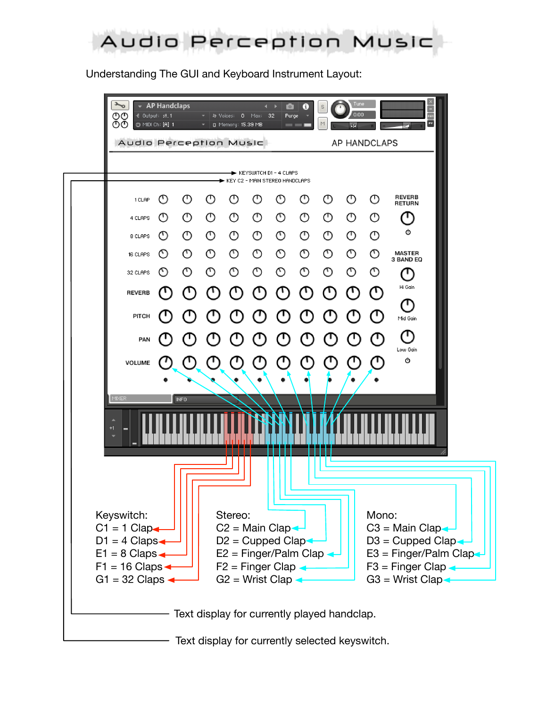

Understanding The GUI and Keyboard Instrument Layout: